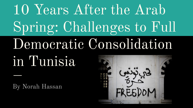# 10 Years After the Arab Spring: Challenges to Full Democratic Consolidation

in Tunisia

By Norah Hassan

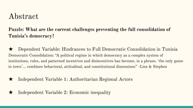### Abstract

### **Puzzle: What are the current challenges preventing the full consolidation of Tunisia's democracy?**

★ Dependent Variable: Hindrances to Full Democratic Consolidation in Tunisia Democratic Consolidation: "A political regime in which democracy as a complex system of institutions, rules, and patterned incentives and disincentives has become, in a phrase, 'the only game in town'... combines behavioral, attitudinal, and constitutional dimensions" -Linz & Stephen

- ★ Independent Variable 1: Authoritarian Regional Actors
- ★ Independent Variable 2: Economic inequality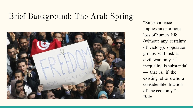# Brief Background: The Arab Spring



"Since violence implies an enormous loss of human life (without any certainty of victory), opposition groups will risk a civil war only if inequality is substantial — that is, if the existing elite owns a considerable fraction of the economy." - Boix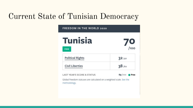## Current State of Tunisian Democracy

| <b>Tunisia</b>                        |                |
|---------------------------------------|----------------|
| <b>FREE</b>                           | $\sum_{100}$   |
| <b>Political Rights</b>               | 32/40          |
| <b>Civil Liberties</b>                | 38/60          |
| <b>LAST YEAR'S SCORE &amp; STATUS</b> | 69/100<br>Free |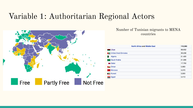### Variable 1: Authoritarian Regional Actors



#### Number of Tunisian migrants to MENA countries

| <b>North Africa and Middle East</b>             | 110,385 |
|-------------------------------------------------|---------|
| Libya                                           | 68,952  |
| United Arab Emirates                            | 39,238  |
| Algeria                                         | 21,420  |
| Saudi Arabia<br>$\frac{\text{max}}{\text{max}}$ | 21,086  |
| <b>Qatar</b>                                    | 17,750  |
| <b>I</b> Oman                                   | 5,693   |
| Morocco                                         | 4,570   |
| <b>Kuwait</b>                                   | 3,500   |
| Egypt                                           | 3,413   |
|                                                 |         |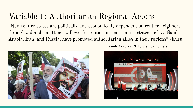## Variable 1: Authoritarian Regional Actors

"Non‐rentier states are politically and economically dependent on rentier neighbors through aid and remittances. Powerful rentier or semi‐rentier states such as Saudi Arabia, Iran, and Russia, have promoted authoritarian allies in their regions" -Kuru



Saudi Arabia's 2018 visit to Tunisia

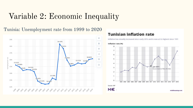### Variable 2: Economic Inequality

Tunisia: Unemployment rate from 1999 to 2020



#### **Tunisian inflation rate**

Inflation has steadily increased since early 2016 and is now at its highest since 1991

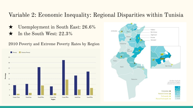### Variable 2: Economic Inequality: Regional Disparities within Tunisia

- ★ Unemployment in South East: 26.6%
- $\star$  In the South West: 22.3%

2010 Poverty and Extreme Poverty Rates by Region